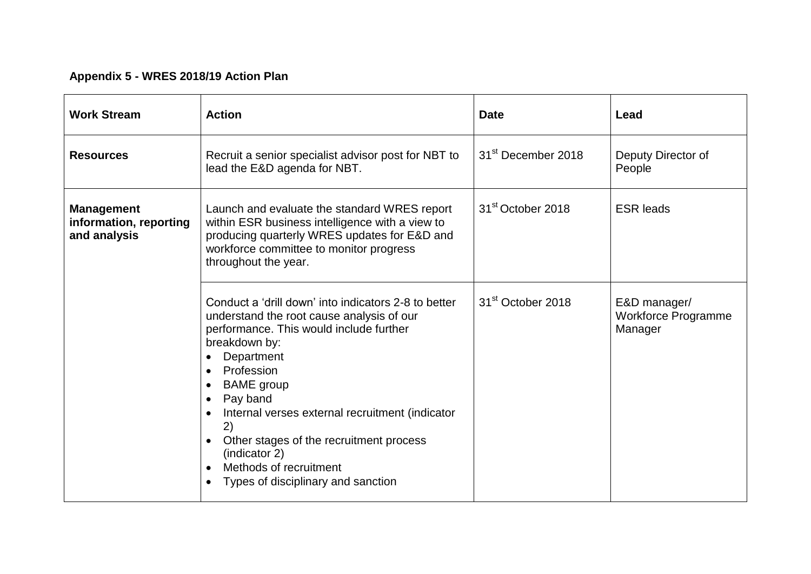## **Appendix 5 - WRES 2018/19 Action Plan**

| <b>Work Stream</b>                                          | <b>Action</b>                                                                                                                                                                                                                                                                                                                                                                                                                  | <b>Date</b>                    | Lead                                           |
|-------------------------------------------------------------|--------------------------------------------------------------------------------------------------------------------------------------------------------------------------------------------------------------------------------------------------------------------------------------------------------------------------------------------------------------------------------------------------------------------------------|--------------------------------|------------------------------------------------|
| <b>Resources</b>                                            | Recruit a senior specialist advisor post for NBT to<br>lead the E&D agenda for NBT.                                                                                                                                                                                                                                                                                                                                            | 31 <sup>st</sup> December 2018 | Deputy Director of<br>People                   |
| <b>Management</b><br>information, reporting<br>and analysis | Launch and evaluate the standard WRES report<br>within ESR business intelligence with a view to<br>producing quarterly WRES updates for E&D and<br>workforce committee to monitor progress<br>throughout the year.                                                                                                                                                                                                             | 31 <sup>st</sup> October 2018  | <b>ESR leads</b>                               |
|                                                             | Conduct a 'drill down' into indicators 2-8 to better<br>understand the root cause analysis of our<br>performance. This would include further<br>breakdown by:<br>Department<br>• Profession<br><b>BAME</b> group<br>Pay band<br>Internal verses external recruitment (indicator<br>2)<br>Other stages of the recruitment process<br>(indicator 2)<br>Methods of recruitment<br>$\bullet$<br>Types of disciplinary and sanction | 31 <sup>st</sup> October 2018  | E&D manager/<br>Workforce Programme<br>Manager |